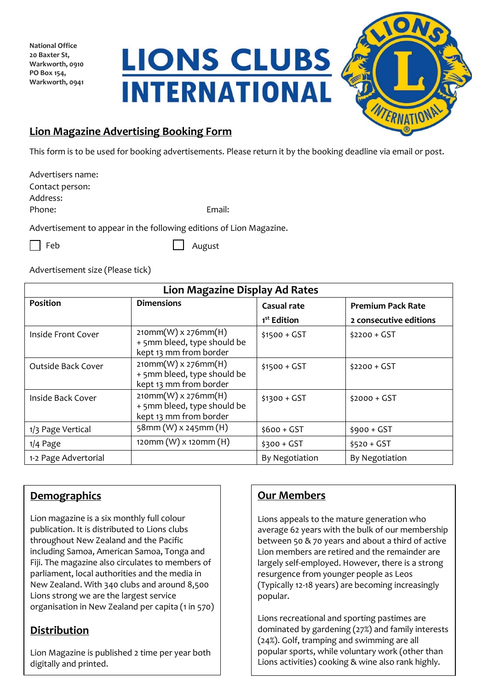**National Office 20 Baxter St, Warkworth, 0910 PO Box 154, Warkworth, 0941**

**LIONS CLUBS INTERNATIONAL** 



## **Lion Magazine Advertising Booking Form**

This form is to be used for booking advertisements. Please return it by the booking deadline via email or post.

| Advertisers name:                                         |        |
|-----------------------------------------------------------|--------|
| Contact person:                                           |        |
| Address:                                                  |        |
| Phone:                                                    | Email: |
| Advertisement to appear in the following editions of Lion |        |

 $\cdot$  in the following editions of Lion Magazine.

|--|--|

August

Advertisement size (Please tick)

| <b>Lion Magazine Display Ad Rates</b> |                                                                                |                         |                          |  |
|---------------------------------------|--------------------------------------------------------------------------------|-------------------------|--------------------------|--|
| Position                              | <b>Dimensions</b>                                                              | <b>Casual rate</b>      | <b>Premium Pack Rate</b> |  |
|                                       |                                                                                | 1 <sup>st</sup> Edition | 2 consecutive editions   |  |
| Inside Front Cover                    | $210mm(W)$ x 276mm(H)<br>+ 5mm bleed, type should be<br>kept 13 mm from border | $$1500 + GST$           | $$2200 + GST$            |  |
| <b>Outside Back Cover</b>             | $210mm(W)$ x 276mm(H)<br>+ 5mm bleed, type should be<br>kept 13 mm from border | $$1500 + GST$           | $$2200 + GST$            |  |
| Inside Back Cover                     | $210mm(W)$ x 276mm(H)<br>+ 5mm bleed, type should be<br>kept 13 mm from border | $$1300 + GST$           | $$2000 + GST$            |  |
| 1/3 Page Vertical                     | 58mm (W) x 245mm (H)                                                           | $$600 + GST$            | $$900 + GST$             |  |
| $1/4$ Page                            | 120mm (W) x 120mm (H)                                                          | $$300 + GST$            | $$520 + GST$             |  |
| 1-2 Page Advertorial                  |                                                                                | By Negotiation          | By Negotiation           |  |

## **Demographics**

Lion magazine is a six monthly full colour publication. It is distributed to Lions clubs throughout New Zealand and the Pacific including Samoa, American Samoa, Tonga and Fiji. The magazine also circulates to members of parliament, local authorities and the media in New Zealand. With 340 clubs and around 8,500 Lions strong we are the largest service organisation in New Zealand per capita (1 in 570)

## **Distribution**

Lion Magazine is published 2 time per year both digitally and printed.

## **Our Members**

Lions appeals to the mature generation who average 62 years with the bulk of our membership between 50 & 70 years and about a third of active Lion members are retired and the remainder are largely self-employed. However, there is a strong resurgence from younger people as Leos (Typically 12-18 years) are becoming increasingly popular.

Lions recreational and sporting pastimes are dominated by gardening (27%) and family interests (24%). Golf, tramping and swimming are all popular sports, while voluntary work (other than Lions activities) cooking & wine also rank highly.